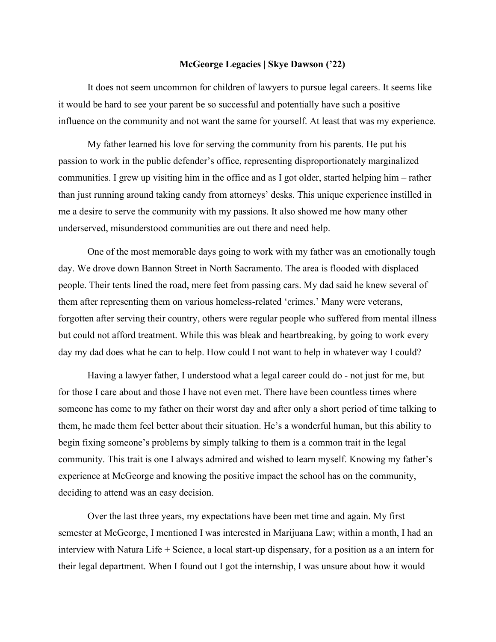## **McGeorge Legacies | Skye Dawson ('22)**

It does not seem uncommon for children of lawyers to pursue legal careers. It seems like it would be hard to see your parent be so successful and potentially have such a positive influence on the community and not want the same for yourself. At least that was my experience.

My father learned his love for serving the community from his parents. He put his passion to work in the public defender's office, representing disproportionately marginalized communities. I grew up visiting him in the office and as I got older, started helping him – rather than just running around taking candy from attorneys' desks. This unique experience instilled in me a desire to serve the community with my passions. It also showed me how many other underserved, misunderstood communities are out there and need help.

One of the most memorable days going to work with my father was an emotionally tough day. We drove down Bannon Street in North Sacramento. The area is flooded with displaced people. Their tents lined the road, mere feet from passing cars. My dad said he knew several of them after representing them on various homeless-related 'crimes.' Many were veterans, forgotten after serving their country, others were regular people who suffered from mental illness but could not afford treatment. While this was bleak and heartbreaking, by going to work every day my dad does what he can to help. How could I not want to help in whatever way I could?

Having a lawyer father, I understood what a legal career could do - not just for me, but for those I care about and those I have not even met. There have been countless times where someone has come to my father on their worst day and after only a short period of time talking to them, he made them feel better about their situation. He's a wonderful human, but this ability to begin fixing someone's problems by simply talking to them is a common trait in the legal community. This trait is one I always admired and wished to learn myself. Knowing my father's experience at McGeorge and knowing the positive impact the school has on the community, deciding to attend was an easy decision.

Over the last three years, my expectations have been met time and again. My first semester at McGeorge, I mentioned I was interested in Marijuana Law; within a month, I had an interview with Natura Life + Science, a local start-up dispensary, for a position as a an intern for their legal department. When I found out I got the internship, I was unsure about how it would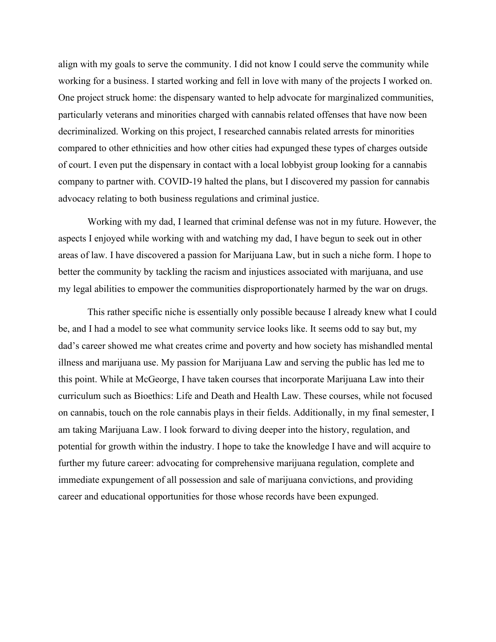align with my goals to serve the community. I did not know I could serve the community while working for a business. I started working and fell in love with many of the projects I worked on. One project struck home: the dispensary wanted to help advocate for marginalized communities, particularly veterans and minorities charged with cannabis related offenses that have now been decriminalized. Working on this project, I researched cannabis related arrests for minorities compared to other ethnicities and how other cities had expunged these types of charges outside of court. I even put the dispensary in contact with a local lobbyist group looking for a cannabis company to partner with. COVID-19 halted the plans, but I discovered my passion for cannabis advocacy relating to both business regulations and criminal justice.

Working with my dad, I learned that criminal defense was not in my future. However, the aspects I enjoyed while working with and watching my dad, I have begun to seek out in other areas of law. I have discovered a passion for Marijuana Law, but in such a niche form. I hope to better the community by tackling the racism and injustices associated with marijuana, and use my legal abilities to empower the communities disproportionately harmed by the war on drugs.

This rather specific niche is essentially only possible because I already knew what I could be, and I had a model to see what community service looks like. It seems odd to say but, my dad's career showed me what creates crime and poverty and how society has mishandled mental illness and marijuana use. My passion for Marijuana Law and serving the public has led me to this point. While at McGeorge, I have taken courses that incorporate Marijuana Law into their curriculum such as Bioethics: Life and Death and Health Law. These courses, while not focused on cannabis, touch on the role cannabis plays in their fields. Additionally, in my final semester, I am taking Marijuana Law. I look forward to diving deeper into the history, regulation, and potential for growth within the industry. I hope to take the knowledge I have and will acquire to further my future career: advocating for comprehensive marijuana regulation, complete and immediate expungement of all possession and sale of marijuana convictions, and providing career and educational opportunities for those whose records have been expunged.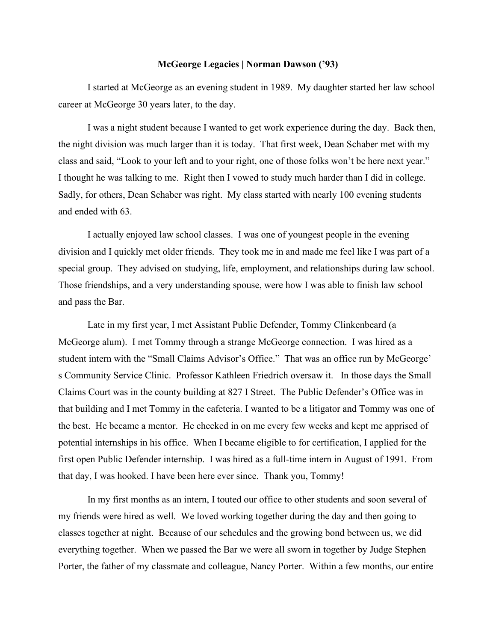## **McGeorge Legacies | Norman Dawson ('93)**

I started at McGeorge as an evening student in 1989. My daughter started her law school career at McGeorge 30 years later, to the day.

I was a night student because I wanted to get work experience during the day. Back then, the night division was much larger than it is today. That first week, Dean Schaber met with my class and said, "Look to your left and to your right, one of those folks won't be here next year." I thought he was talking to me. Right then I vowed to study much harder than I did in college. Sadly, for others, Dean Schaber was right. My class started with nearly 100 evening students and ended with 63.

I actually enjoyed law school classes. I was one of youngest people in the evening division and I quickly met older friends. They took me in and made me feel like I was part of a special group. They advised on studying, life, employment, and relationships during law school. Those friendships, and a very understanding spouse, were how I was able to finish law school and pass the Bar.

Late in my first year, I met Assistant Public Defender, Tommy Clinkenbeard (a McGeorge alum). I met Tommy through a strange McGeorge connection. I was hired as a student intern with the "Small Claims Advisor's Office." That was an office run by McGeorge' s Community Service Clinic. Professor Kathleen Friedrich oversaw it. In those days the Small Claims Court was in the county building at 827 I Street. The Public Defender's Office was in that building and I met Tommy in the cafeteria. I wanted to be a litigator and Tommy was one of the best. He became a mentor. He checked in on me every few weeks and kept me apprised of potential internships in his office. When I became eligible to for certification, I applied for the first open Public Defender internship. I was hired as a full-time intern in August of 1991. From that day, I was hooked. I have been here ever since. Thank you, Tommy!

In my first months as an intern, I touted our office to other students and soon several of my friends were hired as well. We loved working together during the day and then going to classes together at night. Because of our schedules and the growing bond between us, we did everything together. When we passed the Bar we were all sworn in together by Judge Stephen Porter, the father of my classmate and colleague, Nancy Porter. Within a few months, our entire